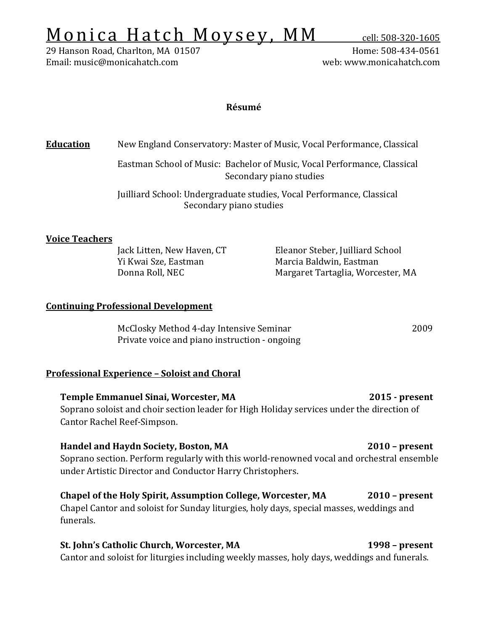# $Monica Hatch Moysey, MM cell: 508-320-1605 29 Hanson Road, Charlton, MA 01507 H$ </u>

29 Hanson Road, Charlton, MA 01507 Home: 508-434-0561 Email: music@monicahatch.com

### **Résumé**

# **Education** New England Conservatory: Master of Music, Vocal Performance, Classical

Eastman School of Music: Bachelor of Music, Vocal Performance, Classical Secondary piano studies

Juilliard School: Undergraduate studies, Vocal Performance, Classical Secondary piano studies

#### **Voice Teachers**

Yi Kwai Sze, Eastman Marcia Baldwin, Eastman

Jack Litten, New Haven, CT Eleanor Steber, Juilliard School Margaret Tartaglia, Worcester, MA

#### **Continuing Professional Development**

McClosky Method 4-day Intensive Seminar 2009 Private voice and piano instruction - ongoing

#### **Professional Experience – Soloist and Choral**

**Temple Emmanuel Sinai, Worcester, MA 2015 - present** Soprano soloist and choir section leader for High Holiday services under the direction of Cantor Rachel Reef-Simpson.

## **Handel and Haydn Society, Boston, MA 2010 – present** Soprano section. Perform regularly with this world-renowned vocal and orchestral ensemble under Artistic Director and Conductor Harry Christophers.

# **Chapel of the Holy Spirit, Assumption College, Worcester, MA 2010 – present** Chapel Cantor and soloist for Sunday liturgies, holy days, special masses, weddings and funerals.

#### **St. John's Catholic Church, Worcester, MA 1998 – present** Cantor and soloist for liturgies including weekly masses, holy days, weddings and funerals.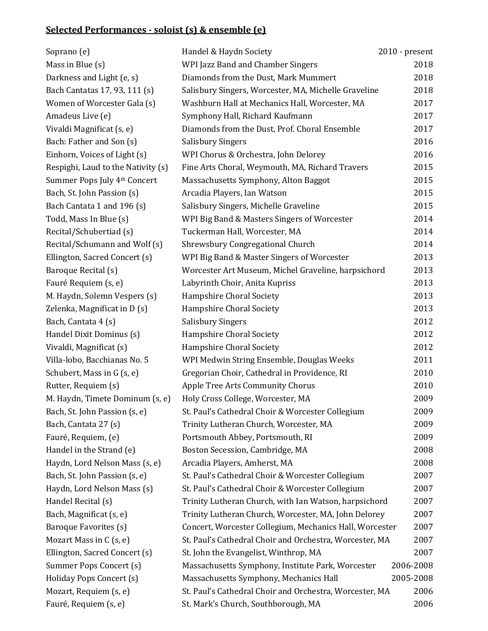# **Selected Performances - soloist (s) & ensemble (e)**

| Soprano (e)                        | Handel & Haydn Society                                  | $2010$ - present |
|------------------------------------|---------------------------------------------------------|------------------|
| Mass in Blue (s)                   | WPI Jazz Band and Chamber Singers                       | 2018             |
| Darkness and Light (e, s)          | Diamonds from the Dust, Mark Mummert                    | 2018             |
| Bach Cantatas 17, 93, 111 (s)      | Salisbury Singers, Worcester, MA, Michelle Graveline    | 2018             |
| Women of Worcester Gala (s)        | Washburn Hall at Mechanics Hall, Worcester, MA          | 2017             |
| Amadeus Live (e)                   | Symphony Hall, Richard Kaufmann                         | 2017             |
| Vivaldi Magnificat (s, e)          | Diamonds from the Dust, Prof. Choral Ensemble           | 2017             |
| Bach: Father and Son (s)           | <b>Salisbury Singers</b>                                | 2016             |
| Einhorn, Voices of Light (s)       | WPI Chorus & Orchestra, John Delorey                    | 2016             |
| Respighi, Laud to the Nativity (s) | Fine Arts Choral, Weymouth, MA, Richard Travers         | 2015             |
| Summer Pops July 4th Concert       | Massachusetts Symphony, Alton Baggot                    | 2015             |
| Bach, St. John Passion (s)         | Arcadia Players, Ian Watson                             | 2015             |
| Bach Cantata 1 and 196 (s)         | Salisbury Singers, Michelle Graveline                   | 2015             |
| Todd, Mass In Blue (s)             | WPI Big Band & Masters Singers of Worcester             | 2014             |
| Recital/Schubertiad (s)            | Tuckerman Hall, Worcester, MA                           | 2014             |
| Recital/Schumann and Wolf (s)      | Shrewsbury Congregational Church                        | 2014             |
| Ellington, Sacred Concert (s)      | WPI Big Band & Master Singers of Worcester              | 2013             |
| Baroque Recital (s)                | Worcester Art Museum, Michel Graveline, harpsichord     | 2013             |
| Fauré Requiem (s, e)               | Labyrinth Choir, Anita Kupriss                          | 2013             |
| M. Haydn, Solemn Vespers (s)       | Hampshire Choral Society                                | 2013             |
| Zelenka, Magnificat in D (s)       | Hampshire Choral Society                                | 2013             |
| Bach, Cantata 4 (s)                | <b>Salisbury Singers</b>                                | 2012             |
| Handel Dixit Dominus (s)           | Hampshire Choral Society                                | 2012             |
| Vivaldi, Magnificat (s)            | Hampshire Choral Society                                | 2012             |
| Villa-lobo, Bacchianas No. 5       | WPI Medwin String Ensemble, Douglas Weeks               | 2011             |
| Schubert, Mass in G (s, e)         | Gregorian Choir, Cathedral in Providence, RI            | 2010             |
| Rutter, Requiem (s)                | Apple Tree Arts Community Chorus                        | 2010             |
| M. Haydn, Timete Dominum (s, e)    | Holy Cross College, Worcester, MA                       | 2009             |
| Bach, St. John Passion (s, e)      | St. Paul's Cathedral Choir & Worcester Collegium        | 2009             |
| Bach, Cantata 27 (s)               | Trinity Lutheran Church, Worcester, MA                  | 2009             |
| Fauré, Requiem, (e)                | Portsmouth Abbey, Portsmouth, RI                        | 2009             |
| Handel in the Strand (e)           | Boston Secession, Cambridge, MA                         | 2008             |
| Haydn, Lord Nelson Mass (s, e)     | Arcadia Players, Amherst, MA                            | 2008             |
| Bach, St. John Passion (s, e)      | St. Paul's Cathedral Choir & Worcester Collegium        | 2007             |
| Haydn, Lord Nelson Mass (s)        | St. Paul's Cathedral Choir & Worcester Collegium        | 2007             |
| Handel Recital (s)                 | Trinity Lutheran Church, with Ian Watson, harpsichord   | 2007             |
| Bach, Magnificat (s, e)            | Trinity Lutheran Church, Worcester, MA, John Delorey    | 2007             |
| Baroque Favorites (s)              | Concert, Worcester Collegium, Mechanics Hall, Worcester | 2007             |
| Mozart Mass in C (s, e)            | St. Paul's Cathedral Choir and Orchestra, Worcester, MA | 2007             |
| Ellington, Sacred Concert (s)      | St. John the Evangelist, Winthrop, MA                   | 2007             |
| Summer Pops Concert (s)            | Massachusetts Symphony, Institute Park, Worcester       | 2006-2008        |
| Holiday Pops Concert (s)           | Massachusetts Symphony, Mechanics Hall                  | 2005-2008        |
| Mozart, Requiem (s, e)             | St. Paul's Cathedral Choir and Orchestra, Worcester, MA | 2006             |
| Fauré, Requiem (s, e)              | St. Mark's Church, Southborough, MA                     | 2006             |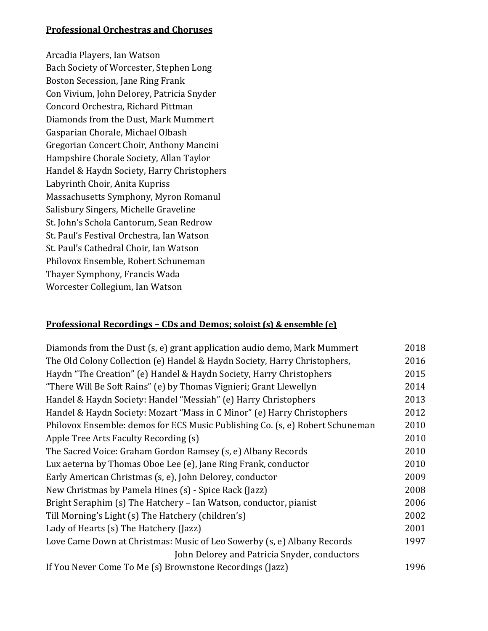# **Professional Orchestras and Choruses**

Arcadia Players, Ian Watson Bach Society of Worcester, Stephen Long Boston Secession, Jane Ring Frank Con Vivium, John Delorey, Patricia Snyder Concord Orchestra, Richard Pittman Diamonds from the Dust, Mark Mummert Gasparian Chorale, Michael Olbash Gregorian Concert Choir, Anthony Mancini Hampshire Chorale Society, Allan Taylor Handel & Haydn Society, Harry Christophers Labyrinth Choir, Anita Kupriss Massachusetts Symphony, Myron Romanul Salisbury Singers, Michelle Graveline St. John's Schola Cantorum, Sean Redrow St. Paul's Festival Orchestra, Ian Watson St. Paul's Cathedral Choir, Ian Watson Philovox Ensemble, Robert Schuneman Thayer Symphony, Francis Wada Worcester Collegium, Ian Watson

#### **Professional Recordings – CDs and Demos; soloist (s) & ensemble (e)**

| Diamonds from the Dust (s, e) grant application audio demo, Mark Mummert      |      |
|-------------------------------------------------------------------------------|------|
| The Old Colony Collection (e) Handel & Haydn Society, Harry Christophers,     |      |
| Haydn "The Creation" (e) Handel & Haydn Society, Harry Christophers           |      |
| "There Will Be Soft Rains" (e) by Thomas Vignieri; Grant Llewellyn            |      |
| Handel & Haydn Society: Handel "Messiah" (e) Harry Christophers               |      |
| Handel & Haydn Society: Mozart "Mass in C Minor" (e) Harry Christophers       |      |
| Philovox Ensemble: demos for ECS Music Publishing Co. (s, e) Robert Schuneman |      |
| Apple Tree Arts Faculty Recording (s)                                         |      |
| The Sacred Voice: Graham Gordon Ramsey (s, e) Albany Records                  |      |
| Lux aeterna by Thomas Oboe Lee (e), Jane Ring Frank, conductor                |      |
| Early American Christmas (s, e), John Delorey, conductor                      |      |
| New Christmas by Pamela Hines (s) - Spice Rack (Jazz)                         |      |
| Bright Seraphim (s) The Hatchery - Ian Watson, conductor, pianist             |      |
| Till Morning's Light (s) The Hatchery (children's)                            |      |
| Lady of Hearts (s) The Hatchery (Jazz)                                        |      |
| Love Came Down at Christmas: Music of Leo Sowerby (s, e) Albany Records       |      |
| John Delorey and Patricia Snyder, conductors                                  |      |
| If You Never Come To Me (s) Brownstone Recordings (Jazz)                      | 1996 |